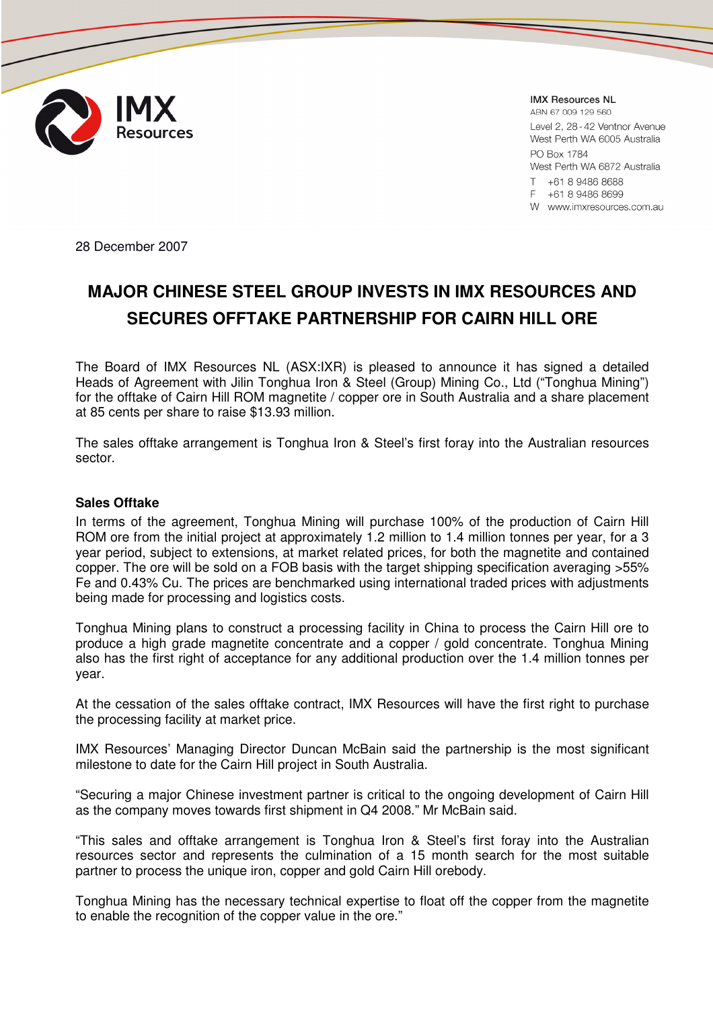

**IMX Resources NL** 

ARN 67 009 129 560 Level 2, 28 - 42 Ventnor Avenue West Perth WA 6005 Australia PO Box 1784

West Perth WA 6872 Australia T +61 8 9486 8688

F +61 8 9486 8699

W www.imxresources.com.au

28 December 2007

# **MAJOR CHINESE STEEL GROUP INVESTS IN IMX RESOURCES AND SECURES OFFTAKE PARTNERSHIP FOR CAIRN HILL ORE**

The Board of IMX Resources NL (ASX:IXR) is pleased to announce it has signed a detailed Heads of Agreement with Jilin Tonghua Iron & Steel (Group) Mining Co., Ltd ("Tonghua Mining") for the offtake of Cairn Hill ROM magnetite / copper ore in South Australia and a share placement at 85 cents per share to raise \$13.93 million.

The sales offtake arrangement is Tonghua Iron & Steel's first foray into the Australian resources sector.

#### **Sales Offtake**

In terms of the agreement, Tonghua Mining will purchase 100% of the production of Cairn Hill ROM ore from the initial project at approximately 1.2 million to 1.4 million tonnes per year, for a 3 year period, subject to extensions, at market related prices, for both the magnetite and contained copper. The ore will be sold on a FOB basis with the target shipping specification averaging >55% Fe and 0.43% Cu. The prices are benchmarked using international traded prices with adjustments being made for processing and logistics costs.

Tonghua Mining plans to construct a processing facility in China to process the Cairn Hill ore to produce a high grade magnetite concentrate and a copper / gold concentrate. Tonghua Mining also has the first right of acceptance for any additional production over the 1.4 million tonnes per year.

At the cessation of the sales offtake contract, IMX Resources will have the first right to purchase the processing facility at market price.

IMX Resources' Managing Director Duncan McBain said the partnership is the most significant milestone to date for the Cairn Hill project in South Australia.

"Securing a major Chinese investment partner is critical to the ongoing development of Cairn Hill as the company moves towards first shipment in Q4 2008." Mr McBain said.

"This sales and offtake arrangement is Tonghua Iron & Steel's first foray into the Australian resources sector and represents the culmination of a 15 month search for the most suitable partner to process the unique iron, copper and gold Cairn Hill orebody.

Tonghua Mining has the necessary technical expertise to float off the copper from the magnetite to enable the recognition of the copper value in the ore."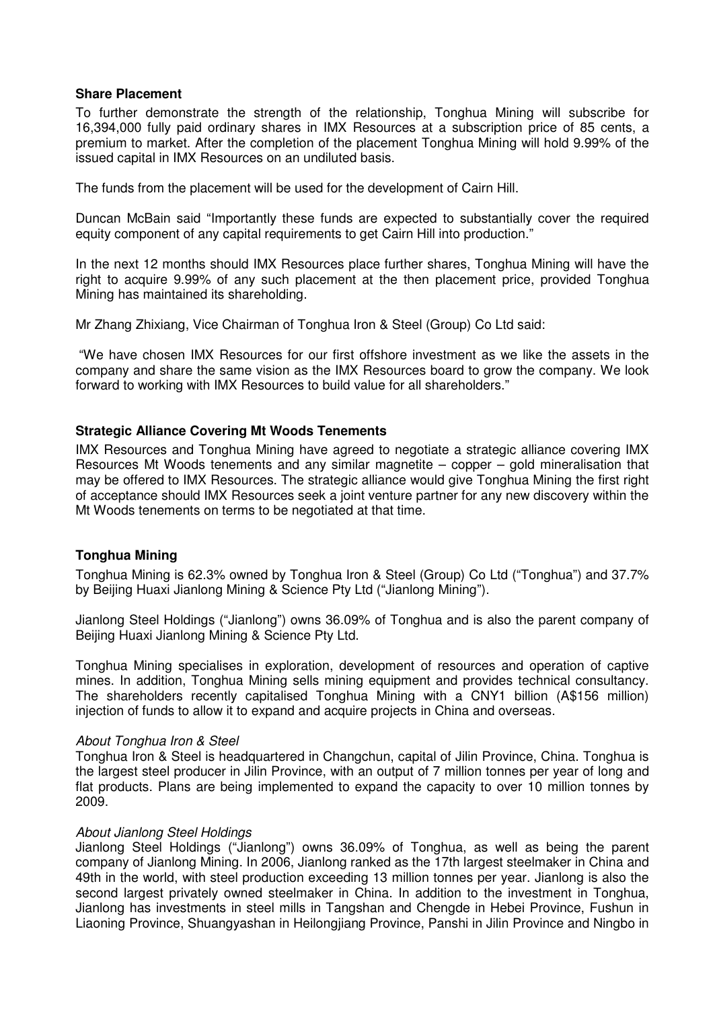## **Share Placement**

To further demonstrate the strength of the relationship, Tonghua Mining will subscribe for 16,394,000 fully paid ordinary shares in IMX Resources at a subscription price of 85 cents, a premium to market. After the completion of the placement Tonghua Mining will hold 9.99% of the issued capital in IMX Resources on an undiluted basis.

The funds from the placement will be used for the development of Cairn Hill.

Duncan McBain said "Importantly these funds are expected to substantially cover the required equity component of any capital requirements to get Cairn Hill into production."

In the next 12 months should IMX Resources place further shares, Tonghua Mining will have the right to acquire 9.99% of any such placement at the then placement price, provided Tonghua Mining has maintained its shareholding.

Mr Zhang Zhixiang, Vice Chairman of Tonghua Iron & Steel (Group) Co Ltd said:

 "We have chosen IMX Resources for our first offshore investment as we like the assets in the company and share the same vision as the IMX Resources board to grow the company. We look forward to working with IMX Resources to build value for all shareholders."

# **Strategic Alliance Covering Mt Woods Tenements**

IMX Resources and Tonghua Mining have agreed to negotiate a strategic alliance covering IMX Resources Mt Woods tenements and any similar magnetite – copper – gold mineralisation that may be offered to IMX Resources. The strategic alliance would give Tonghua Mining the first right of acceptance should IMX Resources seek a joint venture partner for any new discovery within the Mt Woods tenements on terms to be negotiated at that time.

# **Tonghua Mining**

Tonghua Mining is 62.3% owned by Tonghua Iron & Steel (Group) Co Ltd ("Tonghua") and 37.7% by Beijing Huaxi Jianlong Mining & Science Pty Ltd ("Jianlong Mining").

Jianlong Steel Holdings ("Jianlong") owns 36.09% of Tonghua and is also the parent company of Beijing Huaxi Jianlong Mining & Science Pty Ltd.

Tonghua Mining specialises in exploration, development of resources and operation of captive mines. In addition, Tonghua Mining sells mining equipment and provides technical consultancy. The shareholders recently capitalised Tonghua Mining with a CNY1 billion (A\$156 million) injection of funds to allow it to expand and acquire projects in China and overseas.

#### About Tonghua Iron & Steel

Tonghua Iron & Steel is headquartered in Changchun, capital of Jilin Province, China. Tonghua is the largest steel producer in Jilin Province, with an output of 7 million tonnes per year of long and flat products. Plans are being implemented to expand the capacity to over 10 million tonnes by 2009.

#### About Jianlong Steel Holdings

Jianlong Steel Holdings ("Jianlong") owns 36.09% of Tonghua, as well as being the parent company of Jianlong Mining. In 2006, Jianlong ranked as the 17th largest steelmaker in China and 49th in the world, with steel production exceeding 13 million tonnes per year. Jianlong is also the second largest privately owned steelmaker in China. In addition to the investment in Tonghua, Jianlong has investments in steel mills in Tangshan and Chengde in Hebei Province, Fushun in Liaoning Province, Shuangyashan in Heilongjiang Province, Panshi in Jilin Province and Ningbo in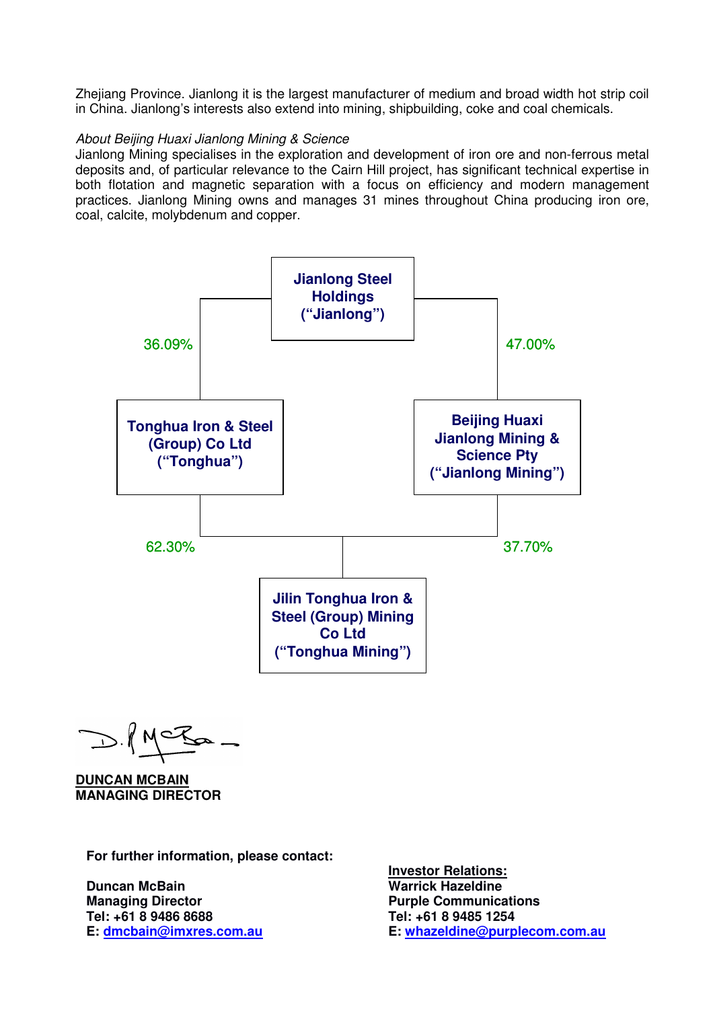Zhejiang Province. Jianlong it is the largest manufacturer of medium and broad width hot strip coil in China. Jianlong's interests also extend into mining, shipbuilding, coke and coal chemicals.

## About Beijing Huaxi Jianlong Mining & Science

Jianlong Mining specialises in the exploration and development of iron ore and non-ferrous metal deposits and, of particular relevance to the Cairn Hill project, has significant technical expertise in both flotation and magnetic separation with a focus on efficiency and modern management practices. Jianlong Mining owns and manages 31 mines throughout China producing iron ore, coal, calcite, molybdenum and copper.



D.KNCK

**DUNCAN MCBAIN MANAGING DIRECTOR** 

**For further information, please contact:** 

**Duncan McBain Managing Director Tel: +61 8 9486 8688 E: dmcbain@imxres.com.au** **Investor Relations: Warrick Hazeldine Purple Communications Tel: +61 8 9485 1254 E: whazeldine@purplecom.com.au**